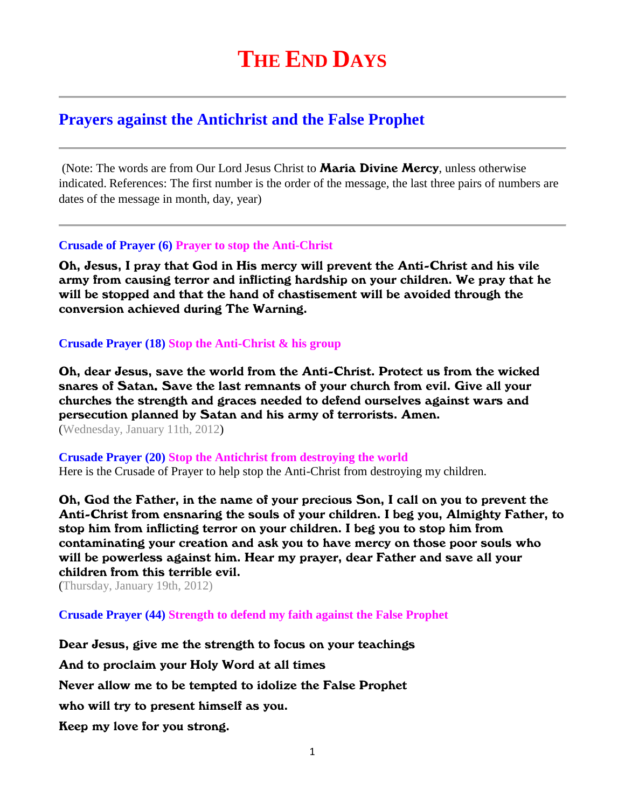# **Prayers against the Antichrist and the False Prophet**

(Note: The words are from Our Lord Jesus Christ to **Maria Divine Mercy**, unless otherwise indicated. References: The first number is the order of the message, the last three pairs of numbers are dates of the message in month, day, year)

#### **Crusade of Prayer (6) Prayer to stop the Anti-Christ**

Oh, Jesus, I pray that God in His mercy will prevent the Anti-Christ and his vile army from causing terror and inflicting hardship on your children. We pray that he will be stopped and that the hand of chastisement will be avoided through the conversion achieved during The Warning.

## **Crusade Prayer (18) Stop the Anti-Christ & his group**

Oh, dear Jesus, save the world from the Anti-Christ. Protect us from the wicked snares of Satan. Save the last remnants of your church from evil. Give all your churches the strength and graces needed to defend ourselves against wars and persecution planned by Satan and his army of terrorists. Amen. (Wednesday, January 11th, 2012)

**Crusade Prayer (20) Stop the Antichrist from destroying the world**  Here is the Crusade of Prayer to help stop the Anti-Christ from destroying my children.

Oh, God the Father, in the name of your precious Son, I call on you to prevent the Anti-Christ from ensnaring the souls of your children. I beg you, Almighty Father, to stop him from inflicting terror on your children. I beg you to stop him from contaminating your creation and ask you to have mercy on those poor souls who will be powerless against him. Hear my prayer, dear Father and save all your children from this terrible evil.

(Thursday, January 19th, 2012)

**Crusade Prayer (44) Strength to defend my faith against the False Prophet**

Dear Jesus, give me the strength to focus on your teachings And to proclaim your Holy Word at all times Never allow me to be tempted to idolize the False Prophet who will try to present himself as you. Keep my love for you strong.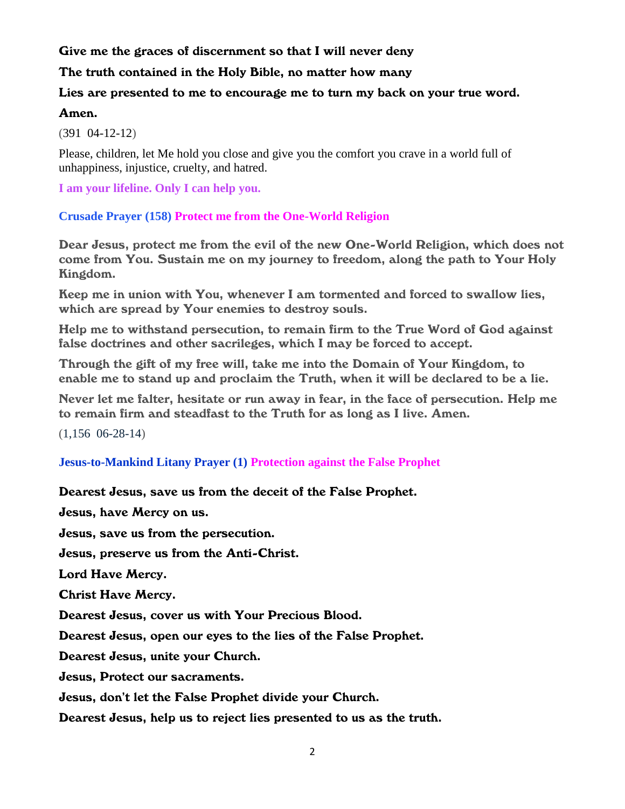## Give me the graces of discernment so that I will never deny

#### The truth contained in the Holy Bible, no matter how many

## Lies are presented to me to encourage me to turn my back on your true word.

#### Amen.

(391 04-12-12)

Please, children, let Me hold you close and give you the comfort you crave in a world full of unhappiness, injustice, cruelty, and hatred.

**I am your lifeline. Only I can help you.**

## **Crusade Prayer (158) Protect me from the One-World Religion**

Dear Jesus, protect me from the evil of the new One-World Religion, which does not come from You. Sustain me on my journey to freedom, along the path to Your Holy Kingdom.

Keep me in union with You, whenever I am tormented and forced to swallow lies, which are spread by Your enemies to destroy souls.

Help me to withstand persecution, to remain firm to the True Word of God against false doctrines and other sacrileges, which I may be forced to accept.

Through the gift of my free will, take me into the Domain of Your Kingdom, to enable me to stand up and proclaim the Truth, when it will be declared to be a lie.

Never let me falter, hesitate or run away in fear, in the face of persecution. Help me to remain firm and steadfast to the Truth for as long as I live. Amen.

(1,156 06-28-14)

#### **Jesus-to-Mankind Litany Prayer (1) Protection against the False Prophet**

## Dearest Jesus, save us from the deceit of the False Prophet.

Jesus, have Mercy on us.

Jesus, save us from the persecution.

Jesus, preserve us from the Anti-Christ.

Lord Have Mercy.

Christ Have Mercy.

Dearest Jesus, cover us with Your Precious Blood.

Dearest Jesus, open our eyes to the lies of the False Prophet.

Dearest Jesus, unite your Church.

Jesus, Protect our sacraments.

Jesus, don't let the False Prophet divide your Church.

Dearest Jesus, help us to reject lies presented to us as the truth.